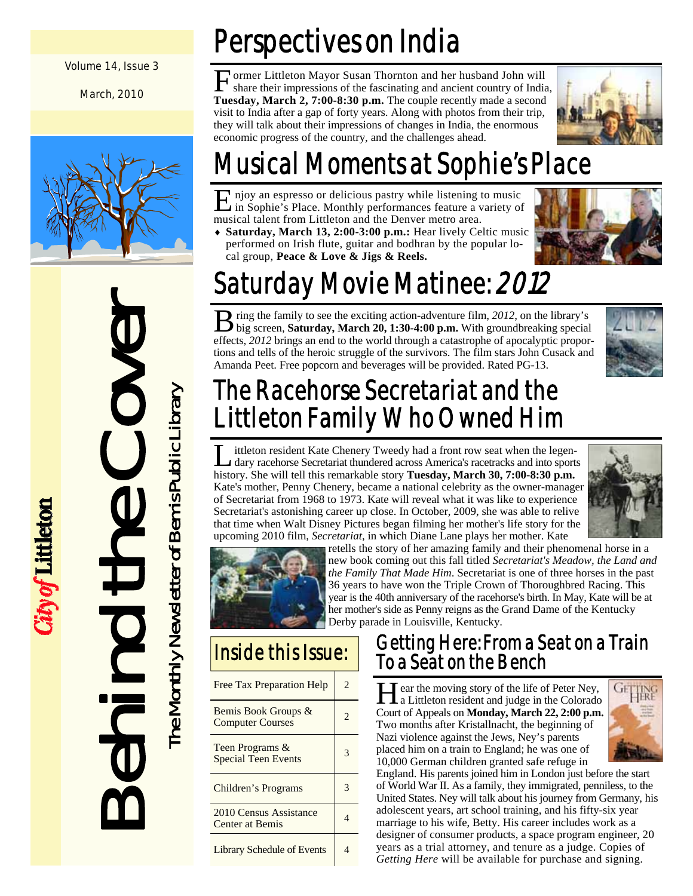#### Volume 14, Issue 3

March, 2010



Behind the Cover The Monthly Newsletter of Bemis Public Library The Monthly Newsletter of Bemis Public Library EQ

City of Littleton

# Perspectives on India

Former Littleton Mayor Susan Thornton and her husband John will<br>share their impressions of the fascinating and ancient country of India, **Tuesday, March 2, 7:00-8:30 p.m.** The couple recently made a second visit to India after a gap of forty years. Along with photos from their trip, they will talk about their impressions of changes in India, the enormous economic progress of the country, and the challenges ahead.



# Musical Moments at Sophie's Place

E njoy an espresso or delicious pastry while listening to music in Sophie's Place. Monthly performances feature a variety of musical talent from Littleton and the Denver metro area.

♦ **Saturday, March 13, 2:00-3:00 p.m.:** Hear lively Celtic music performed on Irish flute, guitar and bodhran by the popular local group, **Peace & Love & Jigs & Reels.**



# Saturday Movie Matinee: 2012

**B** ring the family to see the exciting action-adventure film, 2012, on the library's big screen, **Saturday, March 20, 1:30-4:00 p.m.** With groundbreaking special effects, *2012* brings an end to the world through a catastrophe of apocalyptic proportions and tells of the heroic struggle of the survivors. The film stars John Cusack and Amanda Peet. Free popcorn and beverages will be provided. Rated PG-13.



## The Racehorse Secretariat and the Littleton Family Who Owned Him

L ittleton resident Kate Chenery Tweedy had a front row seat when the legen-<br>dary racehorse Secretariat thundered across America's racetracks and into sports history. She will tell this remarkable story **Tuesday, March 30, 7:00-8:30 p.m.**  Kate's mother, Penny Chenery, became a national celebrity as the owner-manager of Secretariat from 1968 to 1973. Kate will reveal what it was like to experience Secretariat's astonishing career up close. In October, 2009, she was able to relive that time when Walt Disney Pictures began filming her mother's life story for the upcoming 2010 film, *Secretariat*, in which Diane Lane plays her mother. Kate





retells the story of her amazing family and their phenomenal horse in a new book coming out this fall titled *Secretariat's Meadow, the Land and the Family That Made Him*. Secretariat is one of three horses in the past 36 years to have won the Triple Crown of Thoroughbred Racing. This year is the 40th anniversary of the racehorse's birth. In May, Kate will be at her mother's side as Penny reigns as the Grand Dame of the Kentucky Derby parade in Louisville, Kentucky.

## Inside this Issue:

| <b>Free Tax Preparation Help</b>               | 2. |
|------------------------------------------------|----|
| Bemis Book Groups &<br><b>Computer Courses</b> |    |
| Teen Programs &<br><b>Special Teen Events</b>  |    |
| <b>Children's Programs</b>                     |    |
| 2010 Census Assistance<br>Center at Bemis      |    |
| <b>Library Schedule of Events</b>              |    |

## Getting Here: From a Seat on a Train To a Seat on the Bench

Hear the moving story of the life of Peter Ney,<br>a Littleton resident and judge in the Colorado Court of Appeals on **Monday, March 22, 2:00 p.m.** Two months after Kristallnacht, the beginning of Nazi violence against the Jews, Ney's parents placed him on a train to England; he was one of 10,000 German children granted safe refuge in



England. His parents joined him in London just before the start of World War II. As a family, they immigrated, penniless, to the United States. Ney will talk about his journey from Germany, his adolescent years, art school training, and his fifty-six year marriage to his wife, Betty. His career includes work as a designer of consumer products, a space program engineer, 20 years as a trial attorney, and tenure as a judge. Copies of *Getting Here* will be available for purchase and signing.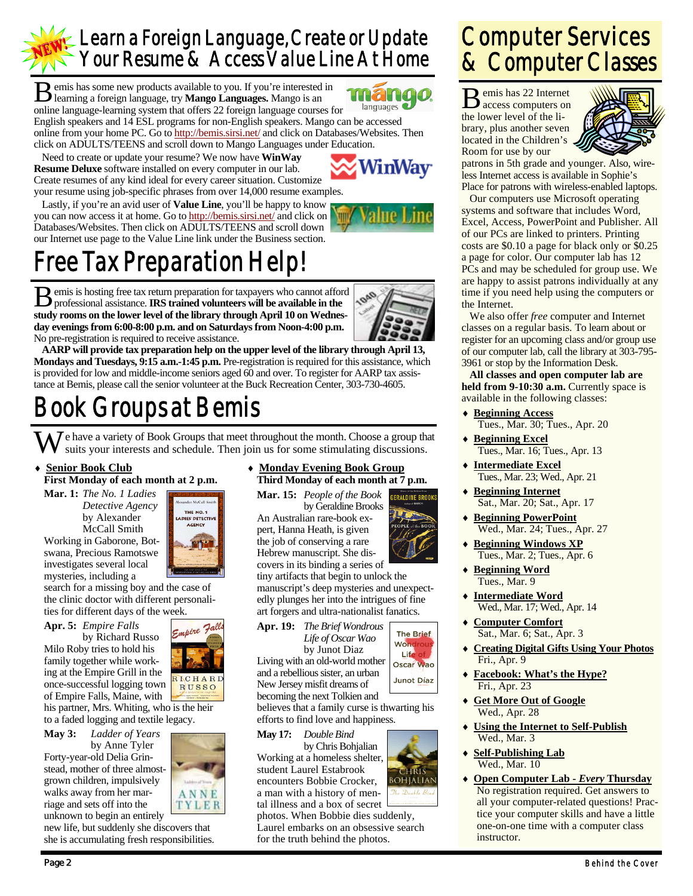## Learn a Foreign Language, Create or Update Your Resume & Access Value Line At Home

B emis has some new products available to you. If you're interested in learning a foreign language, try **Mango Languages.** Mango is an **171 171** languages online language-learning system that offers 22 foreign language courses for English speakers and 14 ESL programs for non-English speakers. Mango can be accessed online from your home PC. Go to http://bemis.sirsi.net/ and click on Databases/Websites. Then click on ADULTS/TEENS and scroll down to Mango Languages under Education.

 Need to create or update your resume? We now have **WinWay Resume Deluxe** software installed on every computer in our lab. Create resumes of any kind ideal for every career situation. Customize your resume using job-specific phrases from over 14,000 resume examples.

 Lastly, if you're an avid user of **Value Line**, you'll be happy to know you can now access it at home. Go to http://bemis.sirsi.net/ and click on Databases/Websites. Then click on ADULTS/TEENS and scroll down our Internet use page to the Value Line link under the Business section.



NinWav

# Free Tax Preparation Help!

 $\bf{B}$  emis is hosting free tax return preparation for taxpayers who cannot afford professional assistance. **IRS trained volunteers will be available in the study rooms on the lower level of the library through April 10 on Wednesday evenings from 6:00-8:00 p.m. and on Saturdays from Noon-4:00 p.m.**  No pre-registration is required to receive assistance.



**AARP will provide tax preparation help on the upper level of the library through April 13, Mondays and Tuesdays, 9:15 a.m.-1:45 p.m.** Pre-registration is required for this assistance, which is provided for low and middle-income seniors aged 60 and over. To register for AARP tax assistance at Bemis, please call the senior volunteer at the Buck Recreation Center, 303-730-4605.

## Book Groups at Bemis

W e have a variety of Book Groups that meet throughout the month. Choose a group that suits your interests and schedule. Then join us for some stimulating discussions.

### **Senior Book Club**

#### **First Monday of each month at 2 p.m.**

**Mar. 1:** *The No. 1 Ladies Detective Agency*  by Alexander McCall Smith

Working in Gaborone, Botswana, Precious Ramotswe investigates several local mysteries, including a

search for a missing boy and the case of the clinic doctor with different personalities for different days of the week.

**Apr. 5:** *Empire Falls*  by Richard Russo Milo Roby tries to hold his family together while working at the Empire Grill in the once-successful logging town of Empire Falls, Maine, with

his partner, Mrs. Whiting, who is the heir to a faded logging and textile legacy.

**May 3:** *Ladder of Years*  by Anne Tyler Forty-year-old Delia Grinstead, mother of three almostgrown children, impulsively walks away from her marriage and sets off into the unknown to begin an entirely

new life, but suddenly she discovers that she is accumulating fresh responsibilities.

#### ♦ **Monday Evening Book Group Third Monday of each month at 7 p.m.**

**Mar. 15:** *People of the Book*  **FRALDINE RROOK** 

by Geraldine Brooks An Australian rare-book expert, Hanna Heath, is given the job of conserving a rare Hebrew manuscript. She discovers in its binding a series of tiny artifacts that begin to unlock the manuscript's deep mysteries and unexpectedly plunges her into the intrigues of fine art forgers and ultra-nationalist fanatics.



Junot Díaz

Living with an old-world mother and a rebellious sister, an urban New Jersey misfit dreams of

becoming the next Tolkien and believes that a family curse is thwarting his efforts to find love and happiness.

**May 17:** *Double Bind* 

 by Chris Bohjalian Working at a homeless shelter, student Laurel Estabrook encounters Bobbie Crocker, a man with a history of mental illness and a box of secret

photos. When Bobbie dies suddenly, Laurel embarks on an obsessive search for the truth behind the photos.

## Computer Services & Computer Classes

B emis has 22 Internet access computers on the lower level of the library, plus another seven located in the Children's Room for use by our



patrons in 5th grade and younger. Also, wireless Internet access is available in Sophie's Place for patrons with wireless-enabled laptops.

 Our computers use Microsoft operating systems and software that includes Word, Excel, Access, PowerPoint and Publisher. All of our PCs are linked to printers. Printing costs are \$0.10 a page for black only or \$0.25 a page for color. Our computer lab has 12 PCs and may be scheduled for group use. We are happy to assist patrons individually at any time if you need help using the computers or the Internet.

 We also offer *free* computer and Internet classes on a regular basis. To learn about or register for an upcoming class and/or group use of our computer lab, call the library at 303-795- 3961 or stop by the Information Desk.

**All classes and open computer lab are**  held from 9-10:30 a.m. Currently space is available in the following classes:

- ♦ **Beginning Access** Tues., Mar. 30; Tues., Apr. 20
- ♦ **Beginning Excel** Tues., Mar. 16; Tues., Apr. 13
- **Intermediate Excel** Tues., Mar. 23; Wed., Apr. 21
- **Beginning Internet** Sat., Mar. 20; Sat., Apr. 17
- ♦ **Beginning PowerPoint** Wed., Mar. 24; Tues., Apr. 27
- ♦ **Beginning Windows XP** Tues., Mar. 2; Tues., Apr. 6
- ♦ **Beginning Word** Tues., Mar. 9
- ♦ **Intermediate Word** Wed., Mar. 17; Wed., Apr. 14
- **Computer Comfort** Sat., Mar. 6; Sat., Apr. 3
- ♦ **Creating Digital Gifts Using Your Photos** Fri., Apr. 9
- ♦ **Facebook: What's the Hype?** Fri., Apr. 23
- **Get More Out of Google** Wed., Apr. 28
- **Using the Internet to Self-Publish** Wed., Mar. 3
- **Self-Publishing Lab** Wed., Mar. 10
- ♦ **Open Computer Lab** *Every* **Thursday** No registration required. Get answers to all your computer-related questions! Practice your computer skills and have a little one-on-one time with a computer class instructor.







ANNE TYLER **Apr. 19:** *The Brief Wondrous Life of Oscar Wao* by Junot Diaz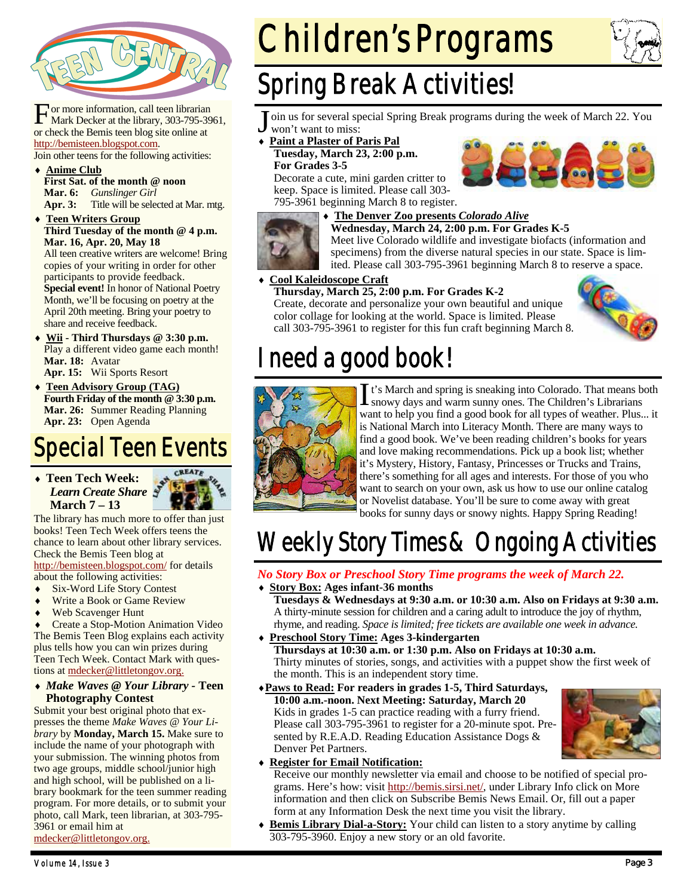

For more information, call teen librarian<br>Mark Decker at the library, 303-795-3961, or check the Bemis teen blog site online at http://bemisteen.blogspot.com. Join other teens for the following activities:

♦ **Anime Club First Sat. of the month @ noon** 

**Mar. 6:** *Gunslinger Girl*  Title will be selected at Mar. mtg.

**Teen Writers Group Third Tuesday of the month @ 4 p.m. Mar. 16, Apr. 20, May 18**  All teen creative writers are welcome! Bring copies of your writing in order for other

participants to provide feedback. **Special event!** In honor of National Poetry Month, we'll be focusing on poetry at the April 20th meeting. Bring your poetry to share and receive feedback.

- Wii Third Thursdays @ 3:30 p.m. Play a different video game each month! **Mar. 18:** Avatar **Apr. 15:** Wii Sports Resort
- **Teen Advisory Group (TAG) Fourth Friday of the month @ 3:30 p.m. Mar. 26:** Summer Reading Planning **Apr. 23:** Open Agenda

## Special Teen Events

♦ **Teen Tech Week:**  *Learn Create Share*  **March 7 – 13** 



The library has much more to offer than just books! Teen Tech Week offers teens the chance to learn about other library services. Check the Bemis Teen blog at

http://bemisteen.blogspot.com/ for details about the following activities:

- ♦ Six-Word Life Story Contest
- Write a Book or Game Review
- Web Scavenger Hunt

Create a Stop-Motion Animation Video The Bemis Teen Blog explains each activity plus tells how you can win prizes during Teen Tech Week. Contact Mark with questions at mdecker@littletongov.org.

♦ *Make Waves @ Your Library -* **Teen Photography Contest** 

Submit your best original photo that expresses the theme *Make Waves @ Your Library* by **Monday, March 15.** Make sure to include the name of your photograph with your submission. The winning photos from two age groups, middle school/junior high and high school, will be published on a library bookmark for the teen summer reading program. For more details, or to submit your photo, call Mark, teen librarian, at 303-795- 3961 or email him at

mdecker@littletongov.org.

# Children's Programs



## Spring Break Activities!

oin us for several special Spring Break programs during the week of March 22. You won't want to miss:

- **Paint a Plaster of Paris Pal**
- **Tuesday, March 23, 2:00 p.m. For Grades 3-5**

Decorate a cute, mini garden critter to keep. Space is limited. Please call 303- 795-3961 beginning March 8 to register.





#### ♦ **The Denver Zoo presents** *Colorado Alive*

**Wednesday, March 24, 2:00 p.m. For Grades K-5**  Meet live Colorado wildlife and investigate biofacts (information and specimens) from the diverse natural species in our state. Space is limited. Please call 303-795-3961 beginning March 8 to reserve a space.

#### **Cool Kaleidoscope Craft**

**Thursday, March 25, 2:00 p.m. For Grades K-2**  Create, decorate and personalize your own beautiful and unique color collage for looking at the world. Space is limited. Please call 303-795-3961 to register for this fun craft beginning March 8.



## I need a good book!



It's March and spring is sneaking into Colorado. That means both snowy days and warm sunny ones. The Children's Librarians want to help you find a good book for all types of weather. Plus... it is National March into Literacy Month. There are many ways to find a good book. We've been reading children's books for years and love making recommendations. Pick up a book list; whether it's Mystery, History, Fantasy, Princesses or Trucks and Trains, there's something for all ages and interests. For those of you who want to search on your own, ask us how to use our online catalog or Novelist database. You'll be sure to come away with great books for sunny days or snowy nights. Happy Spring Reading!

## Weekly Story Times & Ongoing Activities

### *No Story Box or Preschool Story Time programs the week of March 22.*

♦ **Story Box: Ages infant-36 months** 

 **Tuesdays & Wednesdays at 9:30 a.m. or 10:30 a.m. Also on Fridays at 9:30 a.m.**  A thirty-minute session for children and a caring adult to introduce the joy of rhythm, rhyme, and reading. *Space is limited; free tickets are available one week in advance.* 

- ♦ **Preschool Story Time: Ages 3-kindergarten Thursdays at 10:30 a.m. or 1:30 p.m. Also on Fridays at 10:30 a.m.**  Thirty minutes of stories, songs, and activities with a puppet show the first week of the month. This is an independent story time.
- ♦**Paws to Read: For readers in grades 1-5, Third Saturdays, 10:00 a.m.-noon. Next Meeting: Saturday, March 20**  Kids in grades 1-5 can practice reading with a furry friend. Please call 303-795-3961 to register for a 20-minute spot. Presented by R.E.A.D. Reading Education Assistance Dogs & Denver Pet Partners.



#### **Register for Email Notification:**

Receive our monthly newsletter via email and choose to be notified of special programs. Here's how: visit http://bemis.sirsi.net/, under Library Info click on More information and then click on Subscribe Bemis News Email. Or, fill out a paper form at any Information Desk the next time you visit the library.

**Bemis Library Dial-a-Story:** Your child can listen to a story anytime by calling 303-795-3960. Enjoy a new story or an old favorite.